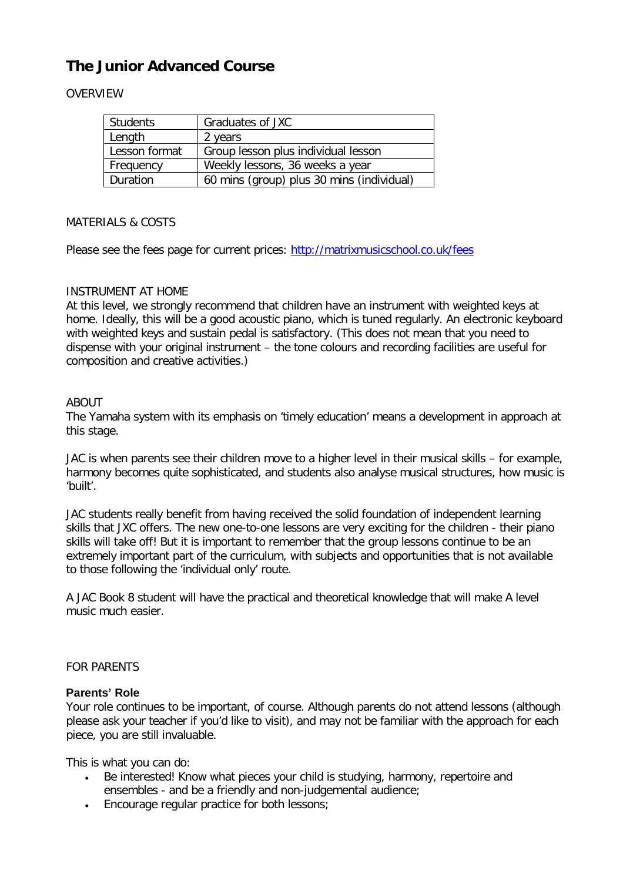# **The Junior Advanced Course**

## OVERVIEW

| <b>Students</b> | Graduates of JXC                          |
|-----------------|-------------------------------------------|
| Length          | 2 years                                   |
| Lesson format   | Group lesson plus individual lesson       |
| Frequency       | Weekly lessons, 36 weeks a year           |
| Duration        | 60 mins (group) plus 30 mins (individual) |

## MATERIALS & COSTS

Please see the fees page for current prices: http://matrixmusicschool.co.uk/fees

## INSTRUMENT AT HOME

At this level, we strongly recommend that children have an instrument with weighted keys at home. Ideally, this will be a good acoustic piano, which is tuned regularly. An electronic keyboard with weighted keys and sustain pedal is satisfactory. (This does not mean that you need to dispense with your original instrument – the tone colours and recording facilities are useful for composition and creative activities.)

## ABOUT

The Yamaha system with its emphasis on 'timely education' means a development in approach at this stage.

JAC is when parents see their children move to a higher level in their musical skills – for example, harmony becomes quite sophisticated, and students also analyse musical structures, how music is 'built'.

JAC students really benefit from having received the solid foundation of independent learning skills that JXC offers. The new one-to-one lessons are very exciting for the children - their piano skills will take off! But it is important to remember that the group lessons continue to be an extremely important part of the curriculum, with subjects and opportunities that is not available to those following the 'individual only' route.

A JAC Book 8 student will have the practical and theoretical knowledge that will make A level music much easier.

#### FOR PARENTS

#### **Parents' Role**

Your role continues to be important, of course. Although parents do not attend lessons (although please ask your teacher if you'd like to visit), and may not be familiar with the approach for each piece, you are still invaluable.

This is what you can do:

- Be interested! Know what pieces your child is studying, harmony, repertoire and ensembles - and be a friendly and non-judgemental audience;
- Encourage regular practice for both lessons;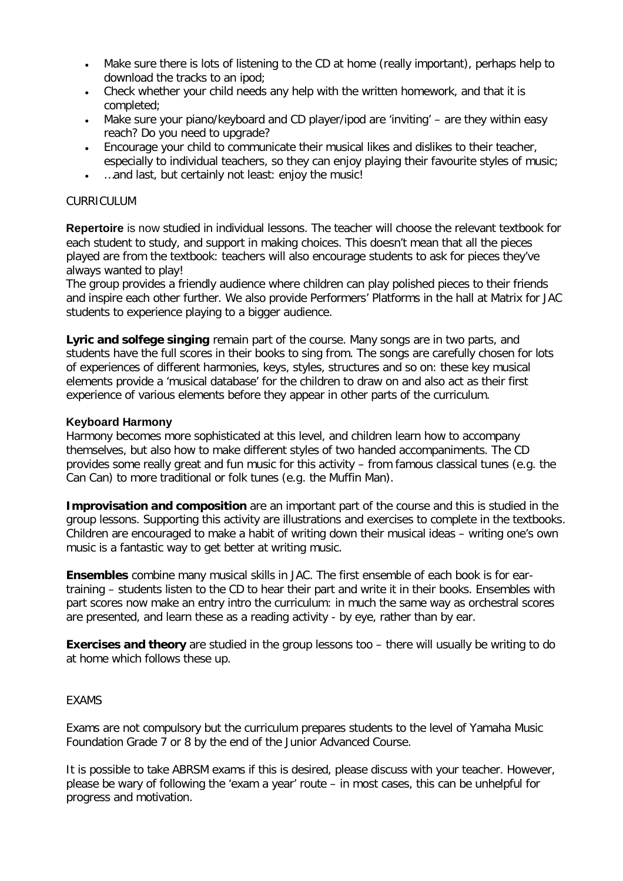- Make sure there is lots of listening to the CD at home (really important), perhaps help to download the tracks to an ipod;
- Check whether your child needs any help with the written homework, and that it is completed;
- Make sure your piano/keyboard and CD player/ipod are 'inviting' are they within easy reach? Do you need to upgrade?
- Encourage your child to communicate their musical likes and dislikes to their teacher, especially to individual teachers, so they can enjoy playing their favourite styles of music;
- …and last, but certainly not least: enjoy the music!

### CURRICULUM

**Repertoire** is now studied in individual lessons. The teacher will choose the relevant textbook for each student to study, and support in making choices. This doesn't mean that all the pieces played are from the textbook: teachers will also encourage students to ask for pieces they've always wanted to play!

The group provides a friendly audience where children can play polished pieces to their friends and inspire each other further. We also provide Performers' Platforms in the hall at Matrix for JAC students to experience playing to a bigger audience.

**Lyric and solfege singing** remain part of the course. Many songs are in two parts, and students have the full scores in their books to sing from. The songs are carefully chosen for lots of experiences of different harmonies, keys, styles, structures and so on: these key musical elements provide a 'musical database' for the children to draw on and also act as their first experience of various elements before they appear in other parts of the curriculum.

#### **Keyboard Harmony**

Harmony becomes more sophisticated at this level, and children learn how to accompany themselves, but also how to make different styles of two handed accompaniments. The CD provides some really great and fun music for this activity – from famous classical tunes (e.g. the Can Can) to more traditional or folk tunes (e.g. the Muffin Man).

**Improvisation and composition** are an important part of the course and this is studied in the group lessons. Supporting this activity are illustrations and exercises to complete in the textbooks. Children are encouraged to make a habit of writing down their musical ideas – writing one's own music is a fantastic way to get better at writing music.

**Ensembles** combine many musical skills in JAC. The first ensemble of each book is for eartraining – students listen to the CD to hear their part and write it in their books. Ensembles with part scores now make an entry intro the curriculum: in much the same way as orchestral scores are presented, and learn these as a reading activity - by eye, rather than by ear.

**Exercises and theory** are studied in the group lessons too – there will usually be writing to do at home which follows these up.

#### EXAMS

Exams are not compulsory but the curriculum prepares students to the level of Yamaha Music Foundation Grade 7 or 8 by the end of the Junior Advanced Course.

It is possible to take ABRSM exams if this is desired, please discuss with your teacher. However, please be wary of following the 'exam a year' route – in most cases, this can be unhelpful for progress and motivation.